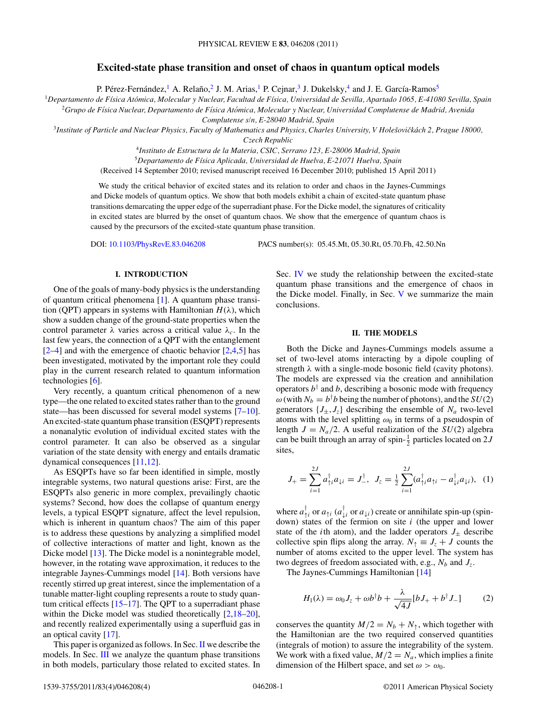## **Excited-state phase transition and onset of chaos in quantum optical models**

P. Pérez-Fernández, <sup>1</sup> A. Relaño, <sup>2</sup> J. M. Arias, <sup>1</sup> P. Cejnar, <sup>3</sup> J. Dukelsky, <sup>4</sup> and J. E. García-Ramos<sup>5</sup>

<sup>1</sup>*Departamento de F´ısica Atomica, Molecular y Nuclear, Facultad de F ´ ´ısica, Universidad de Sevilla, Apartado 1065, E-41080 Sevilla, Spain*

<sup>2</sup>*Grupo de F´ısica Nuclear, Departamento de F´ısica Atomica, Molecular y Nuclear, Universidad Complutense de Madrid, Avenida ´*

*Complutense s/n, E-28040 Madrid, Spain*

<sup>3</sup>Institute of Particle and Nuclear Physics, Faculty of Mathematics and Physics, Charles University, V Holešovičkách 2, Prague 18000,

*Czech Republic*

<sup>4</sup>*Instituto de Estructura de la Materia, CSIC, Serrano 123, E-28006 Madrid, Spain*

<sup>5</sup>*Departamento de F´ısica Aplicada, Universidad de Huelva, E-21071 Huelva, Spain*

(Received 14 September 2010; revised manuscript received 16 December 2010; published 15 April 2011)

We study the critical behavior of excited states and its relation to order and chaos in the Jaynes-Cummings and Dicke models of quantum optics. We show that both models exhibit a chain of excited-state quantum phase transitions demarcating the upper edge of the superradiant phase. For the Dicke model, the signatures of criticality in excited states are blurred by the onset of quantum chaos. We show that the emergence of quantum chaos is caused by the precursors of the excited-state quantum phase transition.

DOI: [10.1103/PhysRevE.83.046208](http://dx.doi.org/10.1103/PhysRevE.83.046208) PACS number(s): 05*.*45*.*Mt, 05*.*30*.*Rt, 05*.*70*.*Fh, 42*.*50*.*Nn

### **I. INTRODUCTION**

One of the goals of many-body physics is the understanding of quantum critical phenomena [\[1\]](#page-3-0). A quantum phase transition (QPT) appears in systems with Hamiltonian  $H(\lambda)$ , which show a sudden change of the ground-state properties when the control parameter  $\lambda$  varies across a critical value  $\lambda_c$ . In the last few years, the connection of a QPT with the entanglement  $[2-4]$  and with the emergence of chaotic behavior  $[2,4,5]$  has been investigated, motivated by the important role they could play in the current research related to quantum information technologies [\[6\]](#page-3-0).

Very recently, a quantum critical phenomenon of a new type—the one related to excited states rather than to the ground state—has been discussed for several model systems [\[7–10\]](#page-3-0). An excited-state quantum phase transition (ESQPT) represents a nonanalytic evolution of individual excited states with the control parameter. It can also be observed as a singular variation of the state density with energy and entails dramatic dynamical consequences [\[11,12\]](#page-3-0).

As ESQPTs have so far been identified in simple, mostly integrable systems, two natural questions arise: First, are the ESQPTs also generic in more complex, prevailingly chaotic systems? Second, how does the collapse of quantum energy levels, a typical ESQPT signature, affect the level repulsion, which is inherent in quantum chaos? The aim of this paper is to address these questions by analyzing a simplified model of collective interactions of matter and light, known as the Dicke model [\[13\]](#page-3-0). The Dicke model is a nonintegrable model, however, in the rotating wave approximation, it reduces to the integrable Jaynes-Cummings model [\[14\]](#page-3-0). Both versions have recently stirred up great interest, since the implementation of a tunable matter-light coupling represents a route to study quantum critical effects  $[15-17]$ . The QPT to a superradiant phase within the Dicke model was studied theoretically [\[2,18–20\]](#page-3-0), and recently realized experimentally using a superfluid gas in an optical cavity [\[17\]](#page-3-0).

This paper is organized as follows. In Sec. II we describe the models. In Sec. [III](#page-1-0) we analyze the quantum phase transitions in both models, particulary those related to excited states. In

Sec. [IV](#page-2-0) we study the relationship between the excited-state quantum phase transitions and the emergence of chaos in the Dicke model. Finally, in Sec. [V](#page-3-0) we summarize the main conclusions.

# **II. THE MODELS**

Both the Dicke and Jaynes-Cummings models assume a set of two-level atoms interacting by a dipole coupling of strength *λ* with a single-mode bosonic field (cavity photons). The models are expressed via the creation and annihilation operators  $b^{\dagger}$  and *b*, describing a bosonic mode with frequency  $\omega$  (with  $N_b = b^{\dagger}b$  being the number of photons), and the *SU*(2) generators  $\{J_{\pm}, J_{z}\}\$  describing the ensemble of  $N_a$  two-level atoms with the level splitting  $\omega_0$  in terms of a pseudospin of length  $J = N_a/2$ . A useful realization of the  $SU(2)$  algebra can be built through an array of spin- $\frac{1}{2}$  particles located on 2*J* sites,

$$
J_{+} = \sum_{i=1}^{2J} a_{\uparrow i}^{\dagger} a_{\downarrow i} = J_{-}^{\dagger}, \ \ J_{z} = \frac{1}{2} \sum_{i=1}^{2J} (a_{\uparrow i}^{\dagger} a_{\uparrow i} - a_{\downarrow i}^{\dagger} a_{\downarrow i}), \ \ (1)
$$

where  $a_{\uparrow i}^{\dagger}$  or  $a_{\uparrow i}$  ( $a_{\downarrow i}^{\dagger}$ ) create or annihilate spin-up (spindown) states of the fermion on site *i* (the upper and lower state of the *i*th atom), and the ladder operators  $J_{\pm}$  describe collective spin flips along the array.  $N_{\uparrow} \equiv J_z + J$  counts the number of atoms excited to the upper level. The system has two degrees of freedom associated with, e.g.,  $N_b$  and  $J_z$ .

The Jaynes-Cummings Hamiltonian [\[14\]](#page-3-0)

$$
H_1(\lambda) = \omega_0 J_z + \omega b^{\dagger} b + \frac{\lambda}{\sqrt{4J}} [b J_+ + b^{\dagger} J_-] \tag{2}
$$

conserves the quantity  $M/2 = N_b + N_\uparrow$ , which together with the Hamiltonian are the two required conserved quantities (integrals of motion) to assure the integrability of the system. We work with a fixed value,  $M/2 = N_a$ , which implies a finite dimension of the Hilbert space, and set  $\omega > \omega_0$ .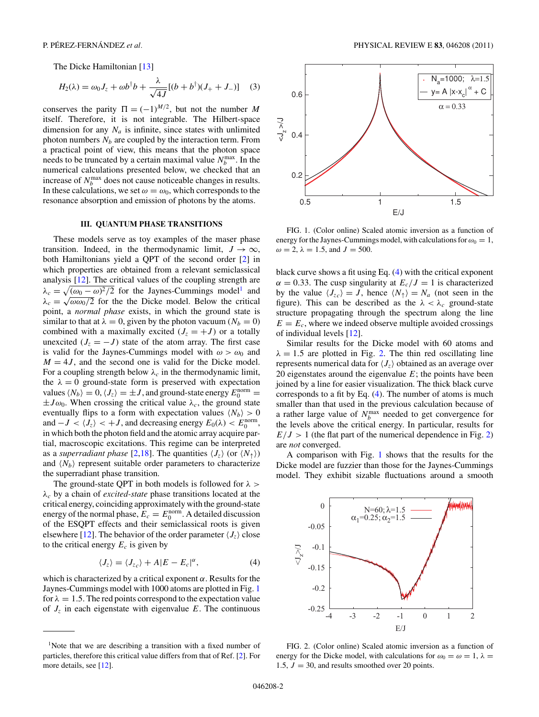<span id="page-1-0"></span>The Dicke Hamiltonian [\[13\]](#page-3-0)

$$
H_2(\lambda) = \omega_0 J_z + \omega b^{\dagger} b + \frac{\lambda}{\sqrt{4J}} [(b + b^{\dagger})(J_+ + J_-)] \quad (3)
$$

conserves the parity  $\Pi = (-1)^{M/2}$ , but not the number M itself. Therefore, it is not integrable. The Hilbert-space dimension for any  $N_a$  is infinite, since states with unlimited photon numbers  $N_b$  are coupled by the interaction term. From a practical point of view, this means that the photon space needs to be truncated by a certain maximal value  $N_b^{\text{max}}$ . In the numerical calculations presented below, we checked that an increase of  $N_b^{\text{max}}$  does not cause noticeable changes in results. In these calculations, we set  $\omega = \omega_0$ , which corresponds to the resonance absorption and emission of photons by the atoms.

#### **III. QUANTUM PHASE TRANSITIONS**

These models serve as toy examples of the maser phase transition. Indeed, in the thermodynamic limit,  $J \rightarrow \infty$ , both Hamiltonians yield a QPT of the second order [\[2\]](#page-3-0) in which properties are obtained from a relevant semiclassical analysis [\[12\]](#page-3-0). The critical values of the coupling strength are  $\lambda_c = \sqrt{(\omega_0 - \omega)^2/2}$  for the Jaynes-Cummings model<sup>1</sup> and  $\lambda_c = \sqrt{\omega \omega_0/2}$  for the the Dicke model. Below the critical point, a *normal phase* exists, in which the ground state is similar to that at  $\lambda = 0$ , given by the photon vacuum ( $N_b = 0$ ) combined with a maximally excited  $(J_z = +J)$  or a totally unexcited  $(J_z = -J)$  state of the atom array. The first case is valid for the Jaynes-Cummings model with  $\omega > \omega_0$  and  $M = 4J$ , and the second one is valid for the Dicke model. For a coupling strength below  $\lambda_c$  in the thermodynamic limit, the  $\lambda = 0$  ground-state form is preserved with expectation values  $\langle N_b \rangle = 0$ ,  $\langle J_z \rangle = \pm J$ , and ground-state energy  $E_0^{\text{norm}} =$  $\pm J\omega_0$ . When crossing the critical value  $\lambda_c$ , the ground state eventually flips to a form with expectation values  $\langle N_b \rangle > 0$ and  $-J < \langle J_z \rangle < +J$ , and decreasing energy  $E_0(\lambda) < E_0^{\text{norm}}$ , in which both the photon field and the atomic array acquire partial, macroscopic excitations. This regime can be interpreted as a *superradiant phase* [\[2,18\]](#page-3-0). The quantities  $\langle J_z \rangle$  (or  $\langle N_{\uparrow} \rangle$ ) and  $\langle N_b \rangle$  represent suitable order parameters to characterize the superradiant phase transition.

The ground-state QPT in both models is followed for *λ > λc* by a chain of *excited-state* phase transitions located at the critical energy, coinciding approximately with the ground-state energy of the normal phase,  $E_c = E_0^{\text{norm}}$ . A detailed discussion of the ESQPT effects and their semiclassical roots is given elsewhere [\[12\]](#page-3-0). The behavior of the order parameter  $\langle J_z \rangle$  close to the critical energy  $E_c$  is given by

$$
\langle J_z \rangle = \langle J_{z_c} \rangle + A |E - E_c|^{\alpha}, \tag{4}
$$

which is characterized by a critical exponent *α*. Results for the Jaynes-Cummings model with 1000 atoms are plotted in Fig. 1 for  $\lambda = 1.5$ . The red points correspond to the expectation value of  $J_z$  in each eigenstate with eigenvalue  $E$ . The continuous



FIG. 1. (Color online) Scaled atomic inversion as a function of energy for the Jaynes-Cummings model, with calculations for  $\omega_0 = 1$ ,  $ω = 2$ ,  $λ = 1.5$ , and  $J = 500$ .

black curve shows a fit using Eq. (4) with the critical exponent  $\alpha = 0.33$ . The cusp singularity at  $E_c/J = 1$  is characterized by the value  $\langle J_{z_c} \rangle = J$ , hence  $\langle N_{\uparrow} \rangle = N_a$  (not seen in the figure). This can be described as the  $\lambda < \lambda_c$  ground-state structure propagating through the spectrum along the line  $E = E_c$ , where we indeed observe multiple avoided crossings of individual levels [\[12\]](#page-3-0).

Similar results for the Dicke model with 60 atoms and  $\lambda = 1.5$  are plotted in Fig. 2. The thin red oscillating line represents numerical data for  $\langle J_z \rangle$  obtained as an average over 20 eigenstates around the eigenvalue  $E$ ; the points have been joined by a line for easier visualization. The thick black curve corresponds to a fit by Eq. (4). The number of atoms is much smaller than that used in the previous calculation because of a rather large value of  $N_b^{\text{max}}$  needed to get convergence for the levels above the critical energy. In particular, results for  $E/J > 1$  (the flat part of the numerical dependence in Fig. 2) are *not* converged.

A comparison with Fig. 1 shows that the results for the Dicke model are fuzzier than those for the Jaynes-Cummings model. They exhibit sizable fluctuations around a smooth



FIG. 2. (Color online) Scaled atomic inversion as a function of energy for the Dicke model, with calculations for  $\omega_0 = \omega = 1$ ,  $\lambda =$ 1.5,  $J = 30$ , and results smoothed over 20 points.

<sup>&</sup>lt;sup>1</sup>Note that we are describing a transition with a fixed number of particles, therefore this critical value differs from that of Ref. [\[2\]](#page-3-0). For more details, see [\[12\]](#page-3-0).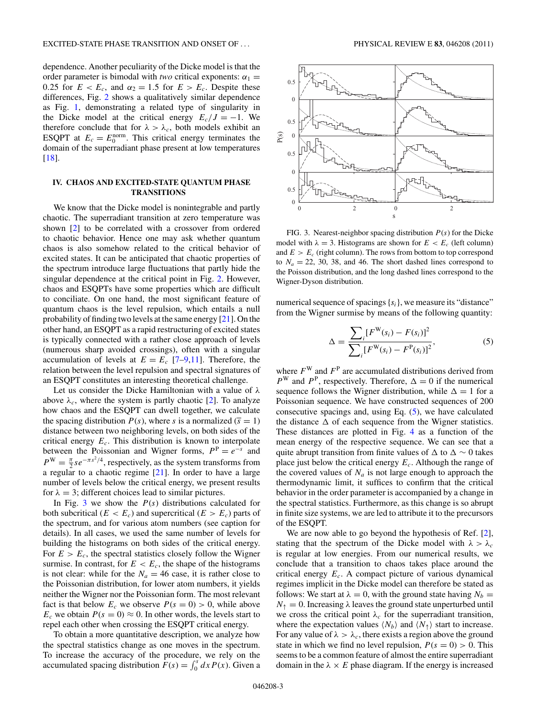<span id="page-2-0"></span>dependence. Another peculiarity of the Dicke model is that the order parameter is bimodal with *two* critical exponents:  $\alpha_1$  = 0.25 for  $E < E_c$ , and  $\alpha_2 = 1.5$  for  $E > E_c$ . Despite these differences, Fig. [2](#page-1-0) shows a qualitatively similar dependence as Fig. [1,](#page-1-0) demonstrating a related type of singularity in the Dicke model at the critical energy  $E_c/J = -1$ . We therefore conclude that for  $\lambda > \lambda_c$ , both models exhibit an ESQPT at  $E_c = E_0^{\text{norm}}$ . This critical energy terminates the domain of the superradiant phase present at low temperatures [\[18\]](#page-3-0).

### **IV. CHAOS AND EXCITED-STATE QUANTUM PHASE TRANSITIONS**

We know that the Dicke model is nonintegrable and partly chaotic. The superradiant transition at zero temperature was shown [\[2\]](#page-3-0) to be correlated with a crossover from ordered to chaotic behavior. Hence one may ask whether quantum chaos is also somehow related to the critical behavior of excited states. It can be anticipated that chaotic properties of the spectrum introduce large fluctuations that partly hide the singular dependence at the critical point in Fig. [2.](#page-1-0) However, chaos and ESQPTs have some properties which are difficult to conciliate. On one hand, the most significant feature of quantum chaos is the level repulsion, which entails a null probability of finding two levels at the same energy [\[21\]](#page-3-0). On the other hand, an ESQPT as a rapid restructuring of excited states is typically connected with a rather close approach of levels (numerous sharp avoided crossings), often with a singular accumulation of levels at  $E = E_c$  [\[7–9,11\]](#page-3-0). Therefore, the relation between the level repulsion and spectral signatures of an ESQPT constitutes an interesting theoretical challenge.

Let us consider the Dicke Hamiltonian with a value of *λ* above  $\lambda_c$ , where the system is partly chaotic [\[2\]](#page-3-0). To analyze how chaos and the ESQPT can dwell together, we calculate the spacing distribution  $P(s)$ , where *s* is a normalized ( $\overline{s} = 1$ ) distance between two neighboring levels, on both sides of the critical energy  $E_c$ . This distribution is known to interpolate between the Poissonian and Wigner forms,  $P^P = e^{-s}$  and  $P^{\rm W} = \frac{\pi}{2} s e^{-\pi s^2/4}$ , respectively, as the system transforms from a regular to a chaotic regime [\[21\]](#page-3-0). In order to have a large number of levels below the critical energy, we present results for  $\lambda = 3$ ; different choices lead to similar pictures.

In Fig. 3 we show the  $P(s)$  distributions calculated for both subcritical ( $E < E_c$ ) and supercritical ( $E > E_c$ ) parts of the spectrum, and for various atom numbers (see caption for details). In all cases, we used the same number of levels for building the histograms on both sides of the critical energy. For  $E > E_c$ , the spectral statistics closely follow the Wigner surmise. In contrast, for  $E < E_c$ , the shape of the histograms is not clear: while for the  $N_a = 46$  case, it is rather close to the Poissonian distribution, for lower atom numbers, it yields neither the Wigner nor the Poissonian form. The most relevant fact is that below  $E_c$  we observe  $P(s = 0) > 0$ , while above  $E_c$  we obtain  $P(s = 0) \approx 0$ . In other words, the levels start to repel each other when crossing the ESQPT critical energy.

To obtain a more quantitative description, we analyze how the spectral statistics change as one moves in the spectrum. To increase the accuracy of the procedure, we rely on the accumulated spacing distribution  $F(s) = \int_0^s dx P(x)$ . Given a



FIG. 3. Nearest-neighbor spacing distribution *P*(*s*) for the Dicke model with  $\lambda = 3$ . Histograms are shown for  $E < E_c$  (left column) and  $E > E_c$  (right column). The rows from bottom to top correspond to  $N_a = 22$ , 30, 38, and 46. The short dashed lines correspond to the Poisson distribution, and the long dashed lines correspond to the Wigner-Dyson distribution.

numerical sequence of spacings { $s_i$ }, we measure its "distance" from the Wigner surmise by means of the following quantity:

$$
\Delta = \frac{\sum_{i} [F^{\mathbf{W}}(s_i) - F(s_i)]^2}{\sum_{i} [F^{\mathbf{W}}(s_i) - F^{\mathbf{P}}(s_i)]^2},
$$
\n(5)

where  $F^W$  and  $F^P$  are accumulated distributions derived from  $P^{W}$  and  $P^{P}$ , respectively. Therefore,  $\Delta = 0$  if the numerical sequence follows the Wigner distribution, while  $\Delta = 1$  for a Poissonian sequence. We have constructed sequences of 200 consecutive spacings and, using Eq.  $(5)$ , we have calculated the distance  $\Delta$  of each sequence from the Wigner statistics. These distances are plotted in Fig. [4](#page-3-0) as a function of the mean energy of the respective sequence. We can see that a quite abrupt transition from finite values of  $\Delta$  to  $\Delta \sim 0$  takes place just below the critical energy *Ec*. Although the range of the covered values of  $N_a$  is not large enough to approach the thermodynamic limit, it suffices to confirm that the critical behavior in the order parameter is accompanied by a change in the spectral statistics. Furthermore, as this change is so abrupt in finite size systems, we are led to attribute it to the precursors of the ESQPT.

We are now able to go beyond the hypothesis of Ref. [\[2\]](#page-3-0), stating that the spectrum of the Dicke model with  $\lambda > \lambda_c$ is regular at low energies. From our numerical results, we conclude that a transition to chaos takes place around the critical energy *Ec*. A compact picture of various dynamical regimes implicit in the Dicke model can therefore be stated as follows: We start at  $\lambda = 0$ , with the ground state having  $N_b =$  $N_{\uparrow} = 0$ . Increasing  $\lambda$  leaves the ground state unperturbed until we cross the critical point  $\lambda_c$  for the superradiant transition, where the expectation values  $\langle N_b \rangle$  and  $\langle N_{\uparrow} \rangle$  start to increase. For any value of  $\lambda > \lambda_c$ , there exists a region above the ground state in which we find no level repulsion,  $P(s = 0) > 0$ . This seems to be a common feature of almost the entire superradiant domain in the  $\lambda \times E$  phase diagram. If the energy is increased